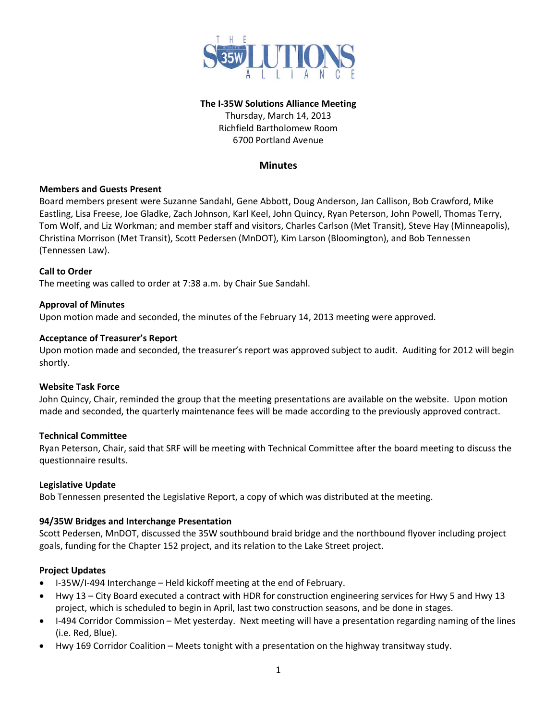

### **The I-35W Solutions Alliance Meeting**

Thursday, March 14, 2013 Richfield Bartholomew Room 6700 Portland Avenue

# **Minutes**

## **Members and Guests Present**

Board members present were Suzanne Sandahl, Gene Abbott, Doug Anderson, Jan Callison, Bob Crawford, Mike Eastling, Lisa Freese, Joe Gladke, Zach Johnson, Karl Keel, John Quincy, Ryan Peterson, John Powell, Thomas Terry, Tom Wolf, and Liz Workman; and member staff and visitors, Charles Carlson (Met Transit), Steve Hay (Minneapolis), Christina Morrison (Met Transit), Scott Pedersen (MnDOT), Kim Larson (Bloomington), and Bob Tennessen (Tennessen Law).

### **Call to Order**

The meeting was called to order at 7:38 a.m. by Chair Sue Sandahl.

### **Approval of Minutes**

Upon motion made and seconded, the minutes of the February 14, 2013 meeting were approved.

### **Acceptance of Treasurer's Report**

Upon motion made and seconded, the treasurer's report was approved subject to audit. Auditing for 2012 will begin shortly.

#### **Website Task Force**

John Quincy, Chair, reminded the group that the meeting presentations are available on the website. Upon motion made and seconded, the quarterly maintenance fees will be made according to the previously approved contract.

## **Technical Committee**

Ryan Peterson, Chair, said that SRF will be meeting with Technical Committee after the board meeting to discuss the questionnaire results.

#### **Legislative Update**

Bob Tennessen presented the Legislative Report, a copy of which was distributed at the meeting.

## **94/35W Bridges and Interchange Presentation**

Scott Pedersen, MnDOT, discussed the 35W southbound braid bridge and the northbound flyover including project goals, funding for the Chapter 152 project, and its relation to the Lake Street project.

## **Project Updates**

- I-35W/I-494 Interchange Held kickoff meeting at the end of February.
- Hwy 13 City Board executed a contract with HDR for construction engineering services for Hwy 5 and Hwy 13 project, which is scheduled to begin in April, last two construction seasons, and be done in stages.
- I-494 Corridor Commission Met yesterday. Next meeting will have a presentation regarding naming of the lines (i.e. Red, Blue).
- Hwy 169 Corridor Coalition Meets tonight with a presentation on the highway transitway study.